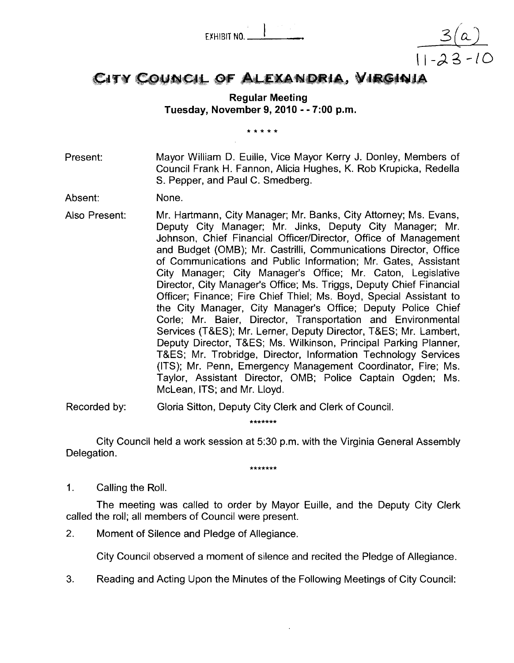EYHIBIT NO. <sup>I</sup>

# CITY COUNCIL OF ALEXANDRIA, VIRGINIA

 $\frac{3(a)}{11-23-10}$ 

## **Regular Meeting Tuesday, November 9,2010** - - **7:00 p.m.**

\* \* \* \* \*

Present: Mayor William D. Euille, Vice Mayor Kerry J. Donley, Members of Council Frank H. Fannon, Alicia Hughes, K. Rob Krupicka, Redella S. Pepper, and Paul C. Smedberg.

Absent: None.

Also Present: Mr. Hartmann, City Manager; Mr. Banks, City Attorney; Ms. Evans, Deputy City Manager; Mr. Jinks, Deputy City Manager; Mr. Johnson, Chief Financial Officer/Director, Office of Management and Budget (OMB); Mr. Castrilli, Communications Director, Office of Communications and Public Information; Mr. Gates, Assistant City Manager; City Manager's Office; Mr. Caton, Legislative Director, City Manager's Office; Ms. Triggs, Deputy Chief Financial Officer; Finance; Fire Chief Thiel; Ms. Boyd, Special Assistant to the City Manager, City Manager's Office; Deputy Police Chief Corle; Mr. Baier, Director, Transportation and Environmental Services (T&ES); Mr. Lerner, Deputy Director, T&ES; Mr. Lambert, Deputy Director, T&ES; Ms. Wilkinson, Principal Parking Planner, T&ES; Mr. Trobridge, Director, Information Technology Services (ITS); Mr. Penn, Emergency Management Coordinator, Fire; Ms. Taylor, Assistant Director, OMB; Police Captain Ogden; Ms. McLean, ITS; and Mr. Lloyd.

Recorded by: Gloria Sitton, Deputy City Clerk and Clerk of Council.

\*\*\*\*\*\*\*

City Council held a work session at 5:30 p.m. with the Virginia General Assembly Delegation.

\*\*\*\*\*\*\*

1. Calling the Roll.

The meeting was called to order by Mayor Euille, and the Deputy City Clerk called the roll; all members of Council were present.

2. Moment of Silence and Pledge of Allegiance.

City Council observed a moment of silence and recited the Pledge of Allegiance.

**3.** Reading and Acting Upon the Minutes of the Following Meetings of City Council: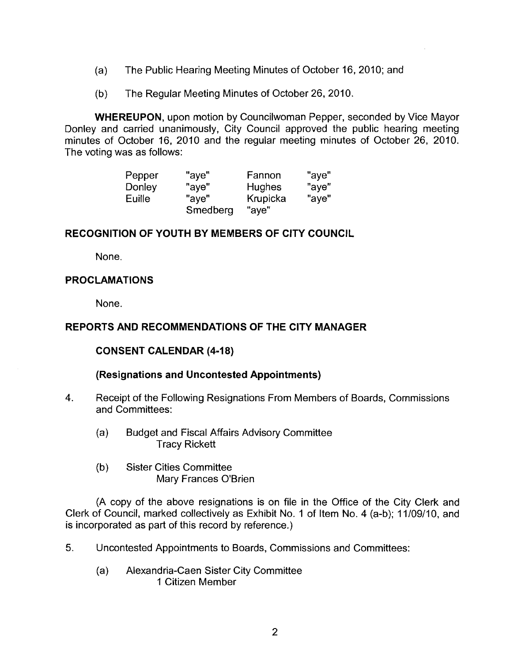- (a) The Public Hearing Meeting Minutes of October 16, 2010; and
- (b) The Regular Meeting Minutes of October 26, 2010.

**WHEREUPON,** upon motion by Councilwoman Pepper, seconded by Vice Mayor Donley and carried unanimously, City Council approved the public hearing meeting minutes of October 16, 2010 and the regular meeting minutes of October 26, 2010. The voting was as follows:

| Pepper | "ave"    | Fannon   | "aye" |
|--------|----------|----------|-------|
| Donley | "ave"    | Hughes   | "aye" |
| Euille | "ave"    | Krupicka | "aye" |
|        | Smedberg | "aye"    |       |

## **RECOGNITION OF YOUTH BY MEMBERS OF CITY COUNCIL**

None.

## **PROCLAMATIONS**

None.

## **REPORTS AND RECOMMENDATIONS OF THE CITY MANAGER**

## **CONSENT CALENDAR (4-18)**

## **(Resignations and Uncontested Appointments)**

- **4.** Receipt of the Following Resignations From Members of Boards, Cornmissions and Committees:
	- (a) Budget and Fiscal Affairs Advisory Committee Tracy Rickett
	- (b) Sister Cities Committee Mary Frances O'Brien

(A copy of the above resignations is on file in the Office of the City Clerk and Clerk of Council, marked collectively as Exhibit No. 1 of Item No. 4 (a-b); 11/09/10, and is incorporated as part of this record by reference.)

- 5. Uncontested Appointments to Boards, Commissions and Committees:
	- (a) Alexandria-Caen Sister City Committee 1 Citizen Member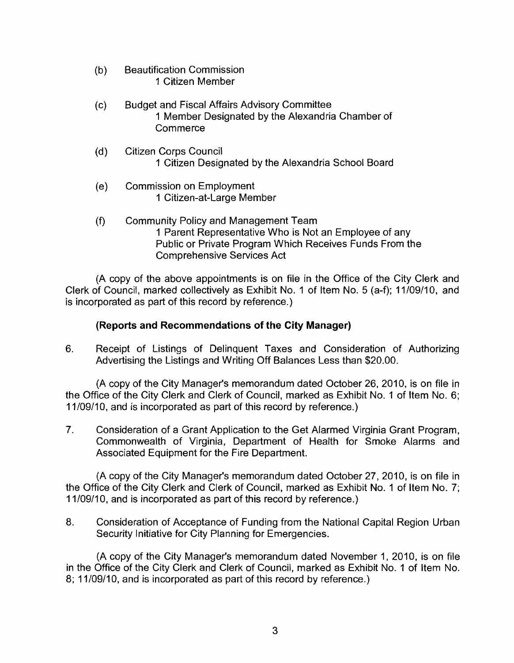- (b) Beautification Commission 1 Citizen Member
- (c) Budget and Fiscal Affairs Advisory Committee 1 Member Designated by the Alexandria Chamber of Commerce
- (d) Citizen Corps Council 1 Citizen Designated by the Alexandria School Board
- (e) Commission on Employment 1 Citizen-at-Large Member
- (f) Community Policy and Management Team 1 Parent Representative Who is Not an Employee of any Public or Private Program Which Receives Funds From the Comprehensive Services Act

(A copy of the above appointments is on file in the Office of the City Clerk and Clerk of Council, marked collectively as Exhibit No. 1 of ltem No. 5 (a-f); 11/09/10, and is incorporated as part of this record by reference.)

# **(Reports and Recommendations of the City Manager)**

6. Receipt of Listings of Delinquent Taxes and Consideration of Authorizing Advertising the Listings and Writing Off Balances Less than \$20.00.

(A copy of the City Manager's memorandum dated October 26, 2010, is on file in the Office of the City Clerk and Clerk of Council, marked as Exhibit No. 1 of ltem No. 6; 11/09/10, and is incorporated as part of this record by reference.)

**7.** Consideration of a Grant Application to the Get Alarmed Virginia Grant Program, Commonwealth of Virginia, Department of Health for Smoke Alarms and Associated Equipment for the Fire Department.

(A copy of the City Manager's memorandum dated October 27, 2010, is on file in the Office of the City Clerk and Clerk of Council, marked as Exhibit No. 1 of ltem No. 7; 1 1/09/10, and is incorporated as part of this record by reference.)

**8.** Consideration of Acceptance of Funding from the National Capital Region Urban Security Initiative for City Planning for Emergencies.

(A copy of the City Manager's memorandum dated November 1, 2010, is on file in the Office of the City Clerk and Clerk of Council, marked as Exhibit No. 1 of ltem No. 8; 11/09/10, and is incorporated as part of this record by reference.)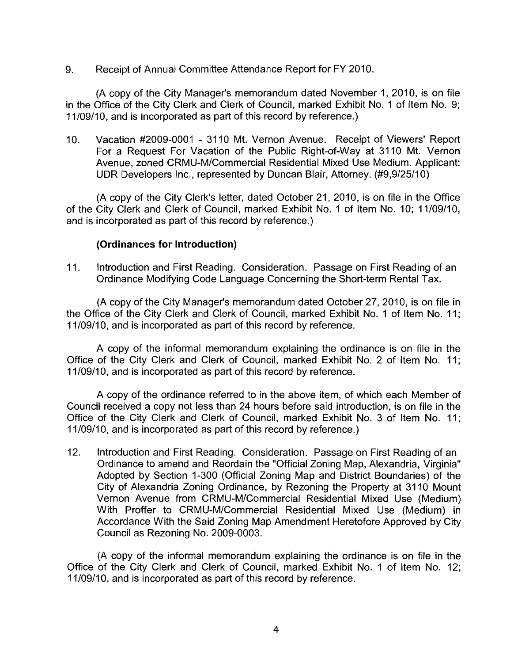9. Receipt of Annual Committee Attendance Report for FY 2010.

(A copy of the City Manager's memorandum dated November 1, 2010, is on file in the Office of the City Clerk and Clerk of Council, marked Exhibit No. 1 of ltem No. 9; 1 1/09/10, and is incorporated as part of this record by reference.)

10. Vacation #2009-0001 - 31 10 Mt. Vernon Avenue. Receipt of Viewers' Report For a Request For Vacation of the Public Right-of-way at 31 10 Mt. Vernon Avenue, zoned CRMU-M/Commercial Residential Mixed Use Medium. Applicant: UDR Developers Inc., represented by Duncan Blair, Attorney. (#9,9/25/10)

(A copy of the City Clerk's letter, dated October 21, 2010, is on file in the Office of the City Clerk and Clerk of Council, marked Exhibit No. 1 of ltem No. 10; 11/09/10, and is incorporated as part of this record by reference.)

## **(Ordinances for Introduction)**

11. Introduction and First Reading. Consideration. Passage on First Reading of an Ordinance Modifying Code Language Concerning the Short-term Rental Tax.

(A copy of the City Manager's memoranduni dated October 27,2010, is on file in the Office of the City Clerk and Clerk of Council, marked Exhibit No. 1 of ltem No. 11; 11/09/10, and is incorporated as part of this record by reference.

A copy of the informal memorandum explaining the ordinance is on file in the Office of the City Clerk and Clerk of Council, marked Exhibit No. 2 of ltem No. 11; 11/09/10, and is incorporated as part of this record by reference.

A copy of the ordinance referred to in the above item, of which each Member of Council received a copy not less than 24 hours before said introduction, is on file in the Office of the City Clerk and Clerk of Council, marked Exhibit No. 3 of ltem No. 11; 11/09/10, and is incorporated as part of this record by reference.)

12. lntroduction and First Reading. Consideration. Passage on First Reading of an Ordinance to amend and Reordain the "Official Zoning Map, Alexandria, Virginia" Adopted by Section 1-300 (Official Zoning Map and District Boundaries) of the City of Alexandria Zoning Ordinance, by Rezoning the Property at 31 10 Mount Vernon Avenue from CRMU-MICommercial Residential Mixed Use (Medium) With Proffer to CRMU-M/Commercial Residential Mixed Use (Medium) in Accordance With the Said Zoning Map Amendment Heretofore Approved by City Council as Rezoning No. 2009-0003.

(A copy of the informal memorandum explaining the ordinance is on file in the Office of the City Clerk and Clerk of Council, marked Exhibit No. 1 of ltem No. 12; 11/09/10, and is incorporated as part of this record by reference.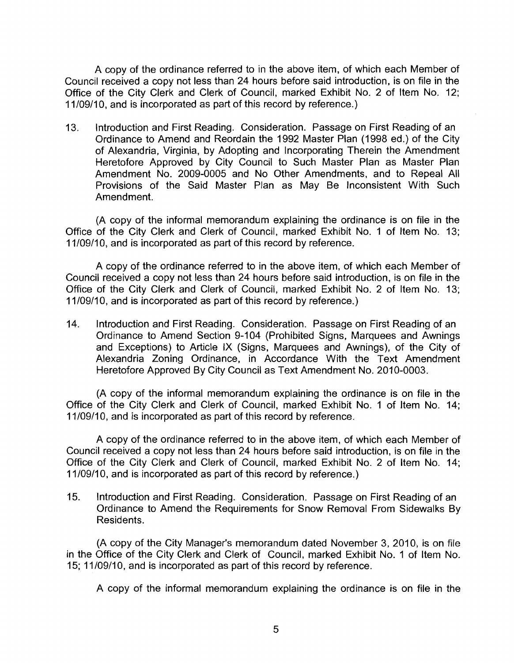A copy of the ordinance referred to in the above item, of which each Member of Council received a copy not less than 24 hours before said introduction, is on file in the Office of the City Clerk and Clerk of Council, marked Exhibit No. 2 of ltem No. 12; 11/09/10, and is incorporated as part of this record by reference.)

13. lntroduction and First Reading. Consideration. Passage on First Reading of an Ordinance to Amend and Reordain the 1992 Master Plan (1998 ed.) of the City of Alexandria, Virginia, by Adopting and Incorporating Therein the Amendment Heretofore Approved by City Council to Such Master Plan as Master Plan Amendment No. 2009-0005 and No Other Amendments, and to Repeal All Provisions of the Said Master Plan as May Be Inconsistent With Such Amendment.

(A copy of the informal memorandum explaining the ordinance is on file in the Office of the City Clerk and Clerk of Council, marked Exhibit No. 1 of ltem No. 13; 11/09/10, and is incorporated as part of this record by reference.

A copy of the ordinance referred to in the above item, of which each Member of Council received a copy not less than 24 hours before said introduction, is on file in the Office of the City Clerk and Clerk of Council, marked Exhibit No. 2 of Item No. 13; 11/09/10, and is incorporated as part of this record by reference.)

14. lntroduction and First Reading. Consideration. Passage on First Reading of an Ordinance to Amend Section 9-104 (Prohibited Signs, Marquees and Awnings and Exceptions) to Article IX (Signs, Marquees and Awnings), of the City of Alexandria Zoning Ordinance, in Accordance With the Text Amendment Heretofore Approved By City Council as Text Amendment No. 2010-0003.

(A copy of the informal memorandum explaining the ordinance is on file in the Office of the City Clerk and Clerk of Council, marked Exhibit No. 1 of ltem No. 14; 11/09/10, and is incorporated as part of this record by reference.

A copy of the ordinance referred to in the above item, of which each Member of Council received a copy not less than 24 hours before said introduction, is on file in the Office of the City Clerk and Clerk of Council, marked Exhibit No. 2 of ltem No. 14; 1 1/09/10, and is incorporated as part of this record by reference.)

15. lntroduction and First Reading. Consideration. Passage on First Reading of an Ordinance to Amend the Requirements for Snow Removal From Sidewalks By Residents.

(A copy of the City Manager's memorandum dated November 3, 2010, is on file in the Office of the City Clerk and Clerk of Council, marked Exhibit No. 1 of ltem No. 15; 11/09/10, and is incorporated as part of this record by reference.

A copy of the informal memorandum explaining the ordinance is on file in the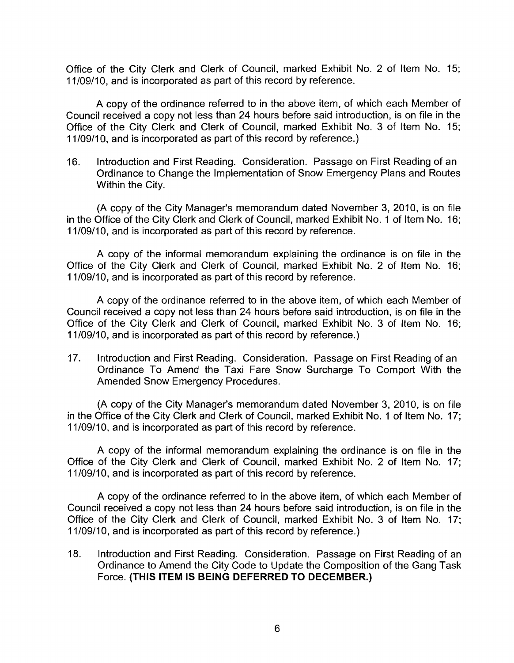Office of the City Clerk and Clerk of Council, marked Exhibit No. 2 of Item No. 15; 1 1/09/10, and is incorporated as part of this record by reference.

A copy of the ordinance referred to in the above item, of which each Member of Council received a copy not less than 24 hours before said introduction, is on file in the Office of the City Clerk and Clerk of Council, marked Exhibit No. 3 of ltem No. 15; 11/09/10, and is incorporated as part of this record by reference.)

16. lntroduction and First Reading. Consideration. Passage on First Reading of an Ordinance to Change the Implementation of Snow Emergency Plans and Routes Within the City.

(A copy of the City Manager's memorandum dated November 3, 2010, is on file in the Office of the City Clerk and Clerk of Council, marked Exhibit No. 1 of ltem No. 16; 1 1/09/10, and is incorporated as part of this record by reference.

A copy of the informal memorandum explaining the ordinance is on file in the Office of the City Clerk and Clerk of Council, marked Exhibit No. 2 of ltem No. 16; 1 1/09/10, and is incorporated as part of this record by reference.

A copy of the ordinance referred to in the above item, of which each Member of Council received a copy not less than 24 hours before said introduction, is on file in the Office of the City Clerk and Clerk of Council, marked Exhibit No. 3 of ltem No. 16; 11/09/10, and is incorporated as part of this record by reference.)

17. Introduction and First Reading. Consideration. Passage on First Reading of an Ordinance To Amend the Taxi Fare Snow Surcharge To Comport With the Amended Snow Emergency Procedures.

(A copy of the City Manager's memorandum dated November 3, 2010, is on file in the Office of the City Clerk and Clerk of Council, marked Exhibit No. 1 of ltem No. 17; 11/09/10, and is incorporated as part of this record by reference.

A copy of the informal memorandum explaining the ordinance is on file in the Office of the City Clerk and Clerk of Council, marked Exhibit No. 2 of ltem No. 17; 11/09/10, and is incorporated as part of this record by reference.

A copy of the ordinance referred to in the above item, of which each Member of Council received a copy not less than 24 hours before said introduction, is on file in the Office of the City Clerk and Clerk of Council, marked Exhibit No. 3 of ltem No. 17; 11/09/10, and is incorporated as part of this record by reference.)

18. lntroduction and First Reading. Consideration. Passage on First Reading of an Ordinance to Amend the City Code to Update the Composition of the Gang Task Force. **('THIS ITEM IS BEING DEFERRED TO DECEMBER.)**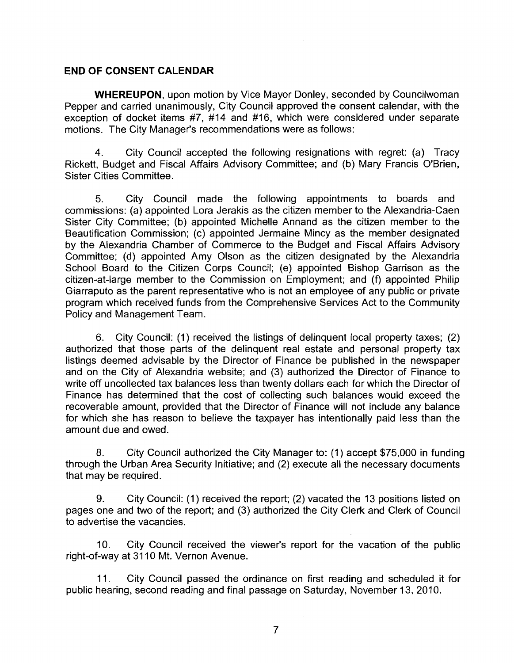## END OF CONSENT CALENDAR

WHERELIPON, upon motion by Vice Mayor Donley, seconded by Councilwoman Pepper and carried unanimously, City Council approved the consent calendar, with the exception of docket items #7, #14 and #16, which were considered under separate motions. The City Manager's recommendations were as follows:

4. City Council accepted the following resignations with regret: (a) Tracy Rickett, Budget and Fiscal Affairs Advisory Committee; and (b) Mary Francis O'Brien, Sister Cities Committee.

5. City Council made the following appointments to boards and commissions: (a) appointed Lora Jerakis as the citizen member to the Alexandria-Caen Sister City Committee; (b) appointed Michelle Annand as the citizen member to the Beautification Commission; (c) appointed Jermaine Mincy as the member designated by the Alexandria Chamber of Commerce to the Budget and Fiscal Affairs Advisory Committee; (d) appointed Amy Olson as the citizen designated by the Alexandria School Board to the Citizen Corps Council; (e) appointed Bishop Garrison as the citizen-at-large member to the Commission on Employment; and (f) appointed Philip Giarraputo as the parent representative who is not an employee of any public or private program which received funds from the Comprehensive Services Act to the Community Policy and Management Team.

6. City Council: (1) received the listings of delinquent local property taxes; (2) authorized that those parts of the delinquent real estate and personal property tax listings deemed advisable by the Director of Finance be published in the newspaper and on the City of Alexandria website; and (3) authorized the Director of Finance to write off uncollected tax balances less than twenty dollars each for which the Director of Finance has determined that the cost of collecting such balances would exceed the recoverable amount, provided that the Director of Finance will not include any balance for which she has reason to believe the taxpayer has intentionally paid less than the amount due and owed.

8. City Council authorized the City Manager to: (1) accept \$75,000 in funding through the Urban Area Security Initiative; and (2) execute all the necessary documents that may be required.

**9.** City Council: (1 ) received the report; (2) vacated the 13 positions listed on pages one and two of the report; and (3) authorized the City Clerk and Clerk of Council to advertise the vacancies.

10. City Council received the viewer's report for the vacation of the public right-of-way at 31 10 Mt. Vernon Avenue.

11. City Council passed the ordinance on first reading and scheduled it for public hearing, second reading and final passqge on Saturday, November 13, 2010.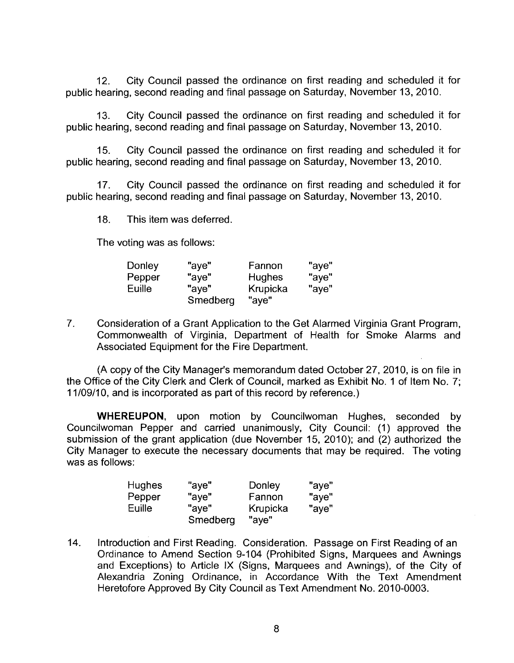12. City Council passed the ordinance on first reading and scheduled it for public hearing, second reading and final passage on Saturday, November 13, 2010.

13. City Council passed the ordinance on first reading and scheduled it for public hearing, second reading and final passage on Saturday, November 13, 2010.

15. City Council passed the ordinance on first reading and scheduled it for public hearing, second reading and final passage on Saturday, November 13, 2010.

17. City Council passed the ordinance on first reading and scheduled it for public hearing, second reading and final passage on Saturday, November 13, 2010.

18. This item was deferred.

The voting was as follows:

| Donley | "ave"    | Farinon  | "aye" |
|--------|----------|----------|-------|
| Pepper | "ave"    | Hughes   | "aye" |
| Euille | "ave"    | Krupicka | "aye" |
|        | Smedberg | "aye"    |       |

7. Consideration of a Grant Application to the Get Alarmed Virginia Grant Program, Commonwealth of Virginia, Department of Health for Smoke Alarms and Associated Equipment for the Fire Department.

(A copy of the City Manager's memorandum dated October 27, 2010, is on file in the Office of the City Clerk and Clerk of Council, marked as Exhibit No. 1 of Item No. 7; 1 1/09/10, and is incorporated as part of this record by reference.)

WHEREUPON, upon motion by Councilwoman Hughes, seconded by Councilwoman Pepper and carried unanimously, City Council: (1) approved the submission of the grant application (due November 15, 2010); and (2) authorized the City Manager to execute the necessary documents that may be required. The voting was as follows:

| <b>Hughes</b> | "aye"    | Donley   | "aye" |
|---------------|----------|----------|-------|
| Pepper        | "aye"    | Fannon   | "aye" |
| Euille        | "ave"    | Krupicka | "aye" |
|               | Smedberg | "ave"    |       |

14. Introduction and First Reading. Consideration. Passage on First Reading of an Ordinance to Amend Section 9-104 (Prohibited Signs, Marquees and Awnings and Exceptions) to Article IX (Signs, Marquees and Awnings), of the City of Alexandria Zoning Ordinance, in Accordance With the Text Amendment Heretofore Approved By City Council as Text Amendment No. 2010-0003.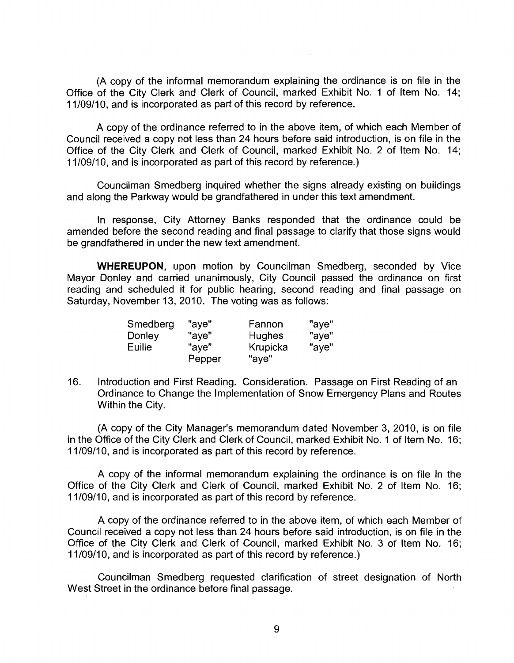(A copy of the informal memorandum explaining the ordinance is on file in the Office of the City Clerk and Clerk of Council, marked Exhibit No. 1 of ltem No. 14; 11/09/10, and is incorporated as part of this record by reference.

A copy of the ordinance referred to in the above item, of which each Member of Council received a copy not less than 24 hours before said introduction, is on file in the Office of the City Clerk and Clerk of Council, marked Exhibit No. 2 of ltem No. 14; 11/09/10, and is incorporated as part of this record by reference.)

Councilman Smedberg inquired whether the signs already existing on buildings and along the Parkway would be grandfathered in under this text amendment.

In response, City Attorney Banks responded that the ordinance could be amended before the second reading and final passage to clarify that those signs would be grandfathered in under the new text amendment.

WHEREUPON, upon motion by Councilman Smedberg, seconded by Vice Mayor Donley and carried unanimously, City Council passed the ordinance on first reading and scheduled it for public hearing, second reading and final passage on Saturday, November 13, 2010. The voting was as follows:

| Smedberg | "ave"  | Fannon   | "aye" |
|----------|--------|----------|-------|
| Donley   | "ave"  | Hughes   | "aye" |
| Euille   | "ave"  | Krupicka | "aye" |
|          | Pepper | "aye"    |       |

16. Introduction and First Reading. Consideration. Passage on First Reading of an Ordinance to Change the Implementation of Snow Emergency Plans and Routes Within the City.

(A copy of the City Manager's memorandum dated November 3, 2010, is on file in the Office of the City Clerk and Clerk of Council, marked Exhibit No. 1 of Item No. 16; 11/09/10, and is incorporated as part of this record by reference.

A copy of the informal memorandum explaining the ordinance is on file in the Office of the City Clerk and Clerk of Council, marked Exhibit No. 2 of ltem No. 16; 11/09/10, and is incorporated as part of this record by reference.

A copy of the ordinance referred to in the above item, of which each Member of Council received a copy not less than 24 hours before said introduction, is on file in the Office of the City Clerk and Clerk of Council, marked Exhibit No. 3 of ltem No. 16; 11/09/10, and is incorporated as part of this record by reference.)

Councilman Smedberg requested clarification of street designation of North West Street in the ordinance before final passage.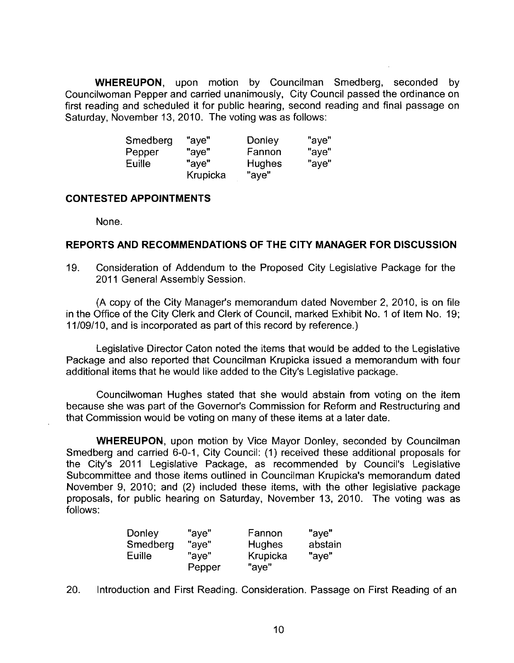**WHEREUPON,** upon motion by Councilman Smedberg, seconded by Councilwoman Pepper and carried unanimously, City Council passed the ordinance on first reading and scheduled it for public hearing, second reading and final passage on Saturday, November 13, 2010. The voting was as follows:

| Smedberg | "aye"    | Donley | "aye" |
|----------|----------|--------|-------|
| Pepper   | "aye"    | Fannon | "aye" |
| Euille   | "ave"    | Hughes | "aye" |
|          | Krupicka | "aye"  |       |

#### **CONTESTED APPOINTMENTS**

None.

## **REPORTS AND RECOMMENDATIONS OF THE CITY MANAGER FOR DISCUSSION**

19. Consideration of Addendum to the Proposed City Legislative Package for the 2011 General Assembly Session.

(A copy of the City Manager's memorandum dated November 2, 2010, is on file in the Office of the City Clerk and Clerk of Council, marked Exhibit No. 1 of Item No. 19; 11/09/10, and is incorporated as part of this record by reference.)

Legislative Director Caton noted the items that would be added to the Legislative Package and also reported that Councilman Krupicka issued a memorandum with four additional items that he would like added to the City's Legislative package.

Councilwoman Hughes stated that she would abstain from voting on the item because she was part of the Governor's Commission for Reform and Restructuring and that Commission would be voting on many of these items at a later date.

**WHEREUPON,** upon motion by Vice Mayor Donley, seconded by Councilman Smedberg and carried 6-0-1, City Council: (1) received these additional proposals for the City's 2011 Legislative Package, as recommended by Council's Legislative Subcommittee and those items outlined in Councilman Krupicka's memorandum dated November 9, 2010; and (2) included these items, with the other legislative package proposals, for public hearing on Saturday, November 13, 2010. The voting was as follows:

| Donley   | "aye"  | Fannon        | "aye"   |
|----------|--------|---------------|---------|
| Smedberg | "aye"  | <b>Hughes</b> | abstain |
| Euille   | "aye"  | Krupicka      | "aye"   |
|          | Pepper | "aye"         |         |

20. Introduction and First Reading. Consideration. Passage on First Reading of an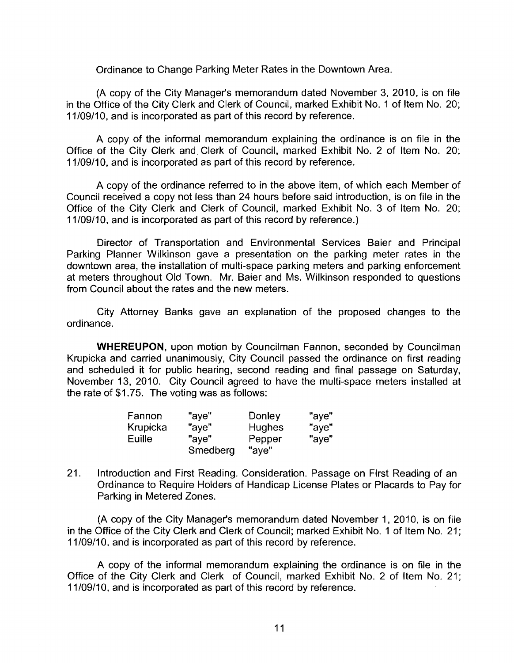Ordinance to Change Parking Meter Rates in the Downtown Area.

(A copy of the City Manager's memorandum dated November 3, 2010, is on file in the Office of the City Clerk and Clerk of Council, marked Exhibit No. 1 of ltem No. 20; 11/09/10, and is incorporated as part of this record by reference.

A copy of the informal memorandum explaining the ordinance is on file in the Office of the City Clerk and, Clerk of Council, marked Exhibit No. 2 of ltem No. 20; 11/09/10, and is incorporated as part of this record by reference.

A copy of the ordinance referred to in the above item, of which each Member of Council received a copy not less than 24 hours before said introduction, is on file in the Office of the City Clerk and Clerk of Council, marked Exhibit No. 3 of ltem No. 20; 11/09/10, and is incorporated as part of this record by reference.)

Director of Transportation and Environmental Services Baier and Principal Parking Planner Wilkinson gave a presentation on the parking meter rates in the downtown area, the installation of multi-space parking meters and parking enforcement at meters throughout Old Town. Mr. Baier and Ms. Wilkinson responded to questions from Council about the rates and the new meters.

City Attorney Banks gave an explanation of the proposed changes to the ordinance.

WHEREUPON, upon motion by Councilman Fannon, seconded by Councilman Krupicka and carried unanimously, City Council passed the ordinance on first reading and scheduled it for public hearing, second reading and final passage on Saturday, November 13, 2010. City Council agreed to have the multi-space meters installed at the rate of \$1.75. The voting was as follows:

| Fannon   | "aye"    | Donley        | "ave" |
|----------|----------|---------------|-------|
| Krupicka | "ave"    | <b>Hughes</b> | "ave" |
| Euille   | "ave"    | Pepper        | "aye" |
|          | Smedberg | "ave"         |       |

21. Introduction and First Reading. Consideration. Passage on First Reading of an Ordinance to Require Holders of Handicap License Plates or Placards to Pay for Parking in Metered Zones.

(A copy of the City Manager's memorandum dated November 1, 2010, is on file in the Office of the City Clerk and Clerk of Council; marked Exhibit No. 1 of ltem No. 21; 11/09/10, and is incorporated as part of this record by reference.

A copy of the informal memorandum explaining the ordinance is on file in the Office of the City Clerk and Clerk of Council, marked Exhibit No. 2 of ltem No. 21; 11/09/10, and is incorporated as part of this record by reference.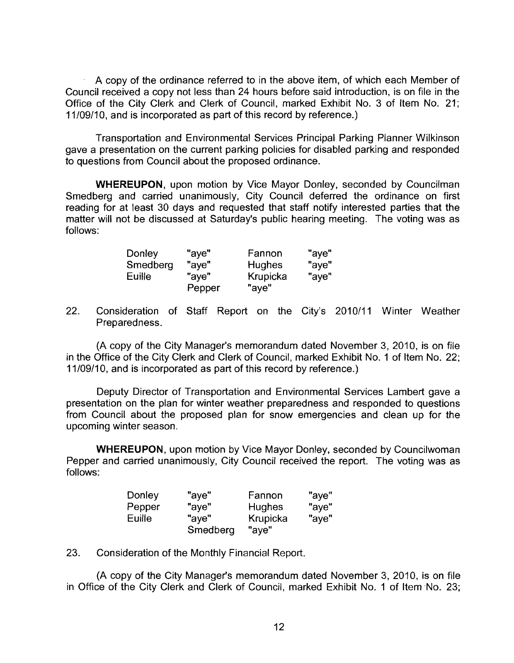**A** copy of the ordinance referred to in the above item, of which each Member of Council received a copy not less than 24 hours before said introduction, is on file in the Office of the City Clerk and Clerk of Council, marked Exhibit No. 3 of Item No. 21; 11/09/10, and is incorporated as part of this record by reference.)

Transportation and Environmental Services Principal Parking Planner Wilkinson gave a presentation on the current parking policies for disabled parking and responded to questions from Council about the proposed ordinance.

WHEREUPON, upon motion by Vice Mayor Donley, seconded by Councilman Smedberg and carried unanimously, City Council deferred the ordinance on first reading for at least 30 days and requested that staff notify interested parties that the matter will not be discussed at Saturday's public hearing meeting. The voting was as follows:

| <b>Donley</b> | "aye"  | Fannon   | "aye" |
|---------------|--------|----------|-------|
| Smedberg      | "aye"  | Hughes   | "aye" |
| Euille        | "aye"  | Krupicka | "aye" |
|               | Pepper | "aye"    |       |

22. Consideration of Staff Report on the City's 2010/11 Winter Weather Preparedness.

**(A** copy of the City Manager's memorandum dated November 3, 2010, is on file in the Office of the City Clerk and Clerk of Council, marked Exhibit No. 1 of Item No. 22; 11/09/10, and is incorporated as part of this record by reference.)

Deputy Director of Transportation and Environmental Services Lambert gave a presentation on the plan for winter weather preparedness and responded to questions from Council about the proposed plan for snow emergencies and clean up for the upcoming winter season.

WHEREUPON, upon motion by Vice Mayor Donley, seconded by Councilwoman Pepper and carried unanimously, City Council received the report. The voting was as follows:

| Donley | "aye"    | Fannon   | "aye" |
|--------|----------|----------|-------|
| Pepper | "aye"    | Hughes   | "aye" |
| Euille | "ave"    | Krupicka | "aye" |
|        | Smedberg | "ave"    |       |

23. Consideration of the Monthly Financial Report.

**(A** copy of the City Manager's memorandum dated November 3, 2010, is on file in Office of the City Clerk and Clerk of Council, marked Exhibit No. 1 of Item No. 23;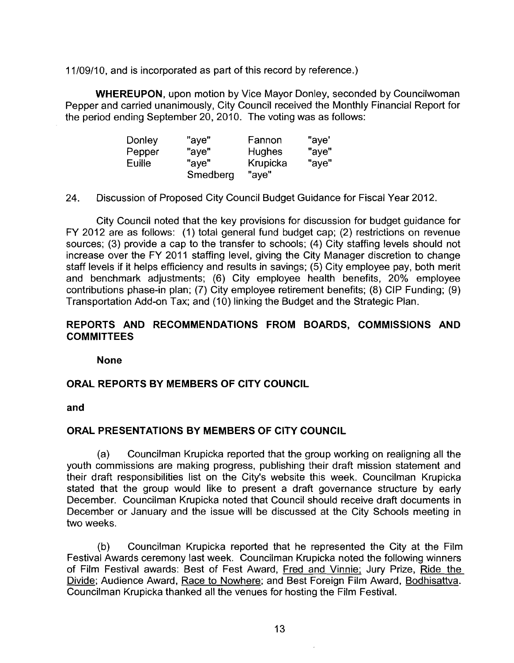1 1/09/10. and is incorporated as part of this record by reference.)

**WHEREUPON,** upon motion by Vice Mayor Donley, seconded by Councilwoman Pepper and carried unanimously, City Council received the Monthly Financial Report for the period ending September 20, 2010. The voting was as follows:

| Donley | "ave"    | Fannon        | "aye" |
|--------|----------|---------------|-------|
| Pepper | "ave"    | <b>Hughes</b> | "ave" |
| Euille | "ave"    | Krupicka      | "aye" |
|        | Smedberg | "aye"         |       |

24. Discussion of Proposed City Council Budget Guidance for Fiscal Year 2012.

City Council noted that the key provisions for discussion for budget guidance for FY 2012 are as follows: (1) total general fund budget cap; (2) restrictions on revenue sources; (3) provide a cap to the transfer to schools; (4) City staffing levels should not increase over the FY 2011 staffing level, giving the City Manager discretion to change staff levels if it helps efficiency and results in savings; (5) City employee pay, both merit and benchmark adjustments; (6) City employee health benefits, 20% employee contributions phase-in plan; (7) City employee retirement benefits; (8) CIP Funding; (9) Transportation Add-on Tax; and (10) linking the Budget and the Strategic Plan.

## **REPORTS AND RECOMMENDATIONS FROM BOARDS, COMMISSIONS AND COMMITTEES**

**None** 

## **ORAL REPORTS BY MEMBERS OF ClTY COUNCIL**

**and** 

## **ORAL PRESENTATIONS BY MEMBERS OF ClTY COUNCIL**

(a) Councilman Krupicka reported that the group working on realigning all the youth commissions are making progress, publishing their draft mission statement and their draft responsibilities list on the City's website this week. Councilman Krupicka stated that the group would like to present a draft governance structure by early December. Councilman Krupicka noted that Council should receive draft documents in December or January and the issue will be discussed at the City Schools meeting in two weeks.

(b) Councilman Krupicka reported that he represented the City at the Film Festival Awards ceremony last week. Councilman Krupicka noted the following winners of Film Festival awards: Best of Fest Award, Fred and Vinnie; Jury Prize, Ride the Divide; Audience Award, Race to Nowhere; and Best Foreign Film Award, Bodhisattva. Councilman Krupicka thanked all the venues for hosting the Film Festival.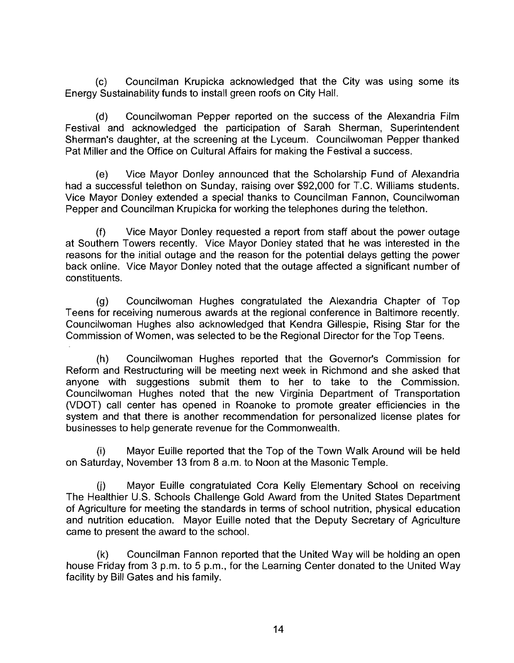(c) Councilman Krupicka acknowledged that the City was using some its Energy Sustainability funds to install green roofs on City Hall.

(d) Councilwoman Pepper reported on the success of the Alexandria Film Festival and acknowledged the participation of Sarah Sherman, Superintendent Sherman's daughter, at the screening at the Lyceum. Councilwoman Pepper thanked Pat Miller and the Office on Cultural Affairs for making the Festival a success.

(e) Vice Mayor Donley announced that the Scholarship Fund of Alexandria had a successful telethon on Sunday, raising over \$92,000 for T.C. Williams students. Vice Mayor Donley extended a special thanks to Councilman Fannon, Councilwoman Pepper and Councilman Krupicka for working the telephones during the telethon.

(f) Vice Mayor Donley requested a report from staff about the power outage at Southern Towers recently. Vice Mayor Donley stated that he was interested in the reasons for the initial outage and the reason for the potential delays getting the power back online. Vice Mayor Donley noted that the outage affected a significant number of constituents.

(g) Councilwoman Hughes congratulated the Alexandria Chapter of Top Teens for receiving numerous awards at the regional conference in Baltimore recently. Councilwoman Hughes also acknowledged that Kendra Gillespie, Rising Star for the Commission of Women, was selected to be the Regional Director for the Top Teens.

(h) Councilwoman Hughes reported that the Governor's Commission for Reform and Restructuring will be meeting next week in Richmond and she asked that anyone with suggestions submit them to her to take to the Commission. Councilwoman Hughes noted that the new Virginia Department of Transportation (VDOT) call center has opened in Roanoke to promote greater efficiencies in the system and that there is another recommendation for personalized license plates for businesses to help generate revenue for the Commonwealth.

(i) Mayor Euille reported that the Top of the Town Walk Around will be held on Saturday, November 13 from 8 a.m. to Noon at the Masonic Temple.

(j) Mayor Euille congratulated Cora Kelly Elementary School on receiving The Healthier U.S. Schools Challenge Gold Award from the United States Department of Agriculture for meeting the standards in terms of school nutrition, physical education and nutrition education. Mayor Euille noted that the Deputy Secretary of Agriculture came to present the award to the school.

(k) Councilman Fannon reported that the United Way will be holding an open house Friday from 3 p.m. to 5 p.m., for the Learning Center donated to the United Way facility by Bill Gates and his family.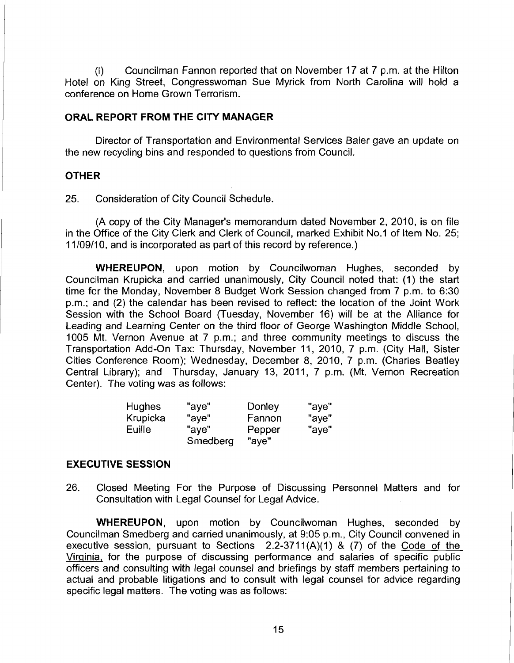(I) Councilman Fannon reported that on November 17 at 7 p.m. at the Hilton Hotel on King Street, Congresswoman Sue Myrick from North Carolina will hold a conference on Home Grown Terrorism.

#### ORAL REPORT FROM THE CITY MANAGER

Director of Transportation and Environmental Services Baier gave an update on the new recycling bins and responded to questions from Council.

#### **OTHER**

25. Consideration of City Council Schedule.

(A copy of the City Manager's memorandum dated November 2, 2010, is on file in the Office of the City Clerk and Clerk of Council, marked Exhibit No.1 of Item No. 25; 1 1/09/10, and is incorporated as part of this record by reference.)

WHERELIPON, upon motion by Councilwoman Hughes, seconded by Councilman Krupicka and carried unanimously, City Council noted that: (1) the start time for the Monday, November 8 Budget Work Session changed from 7 p.m. to 6:30 p.m.; and (2) the calendar has been revised to reflect: the location of the Joint Work Session with the School Board (Tuesday, November 16) will be at the Alliance for Leading and Learning Center on the third floor of George Washington Middle School, 1005 Mt. Vernon Avenue at 7 p.m.; and three community meetings to discuss the Transportation Add-On Tax: Thursday, November 11, 2010, 7 p.m. (City Hall, Sister Cities Conference Room); Wednesday, December 8, 2010, 7 p.m. (Charles Beatley Central Library); and Thursday, January 13, 2011, 7 p.m. (Mt. Vernon Recreation Center). The voting was as follows:

| <b>Hughes</b> | "aye"    | Donley | "aye" |
|---------------|----------|--------|-------|
| Krupicka      | "ave"    | Fannon | "aye" |
| Euille        | "ave"    | Pepper | "aye" |
|               | Smedberg | "aye"  |       |

#### EXECUTIVE SESSION

26. Closed Meeting For the Purpose of Discussing Personnel Matters and for Consultation with Legal Counsel for Legal Advice.

WHEREUPON, upon motion by Councilwoman Hughes, seconded by Councilman Smedberg and carried unanimously, at 9:05 p.m., City Council convened in executive session, pursuant to Sections  $2.2-3711(A)(1)$  & (7) of the Code of the Virginia, for the purpose of discussing performance and salaries of specific public officers and consulting with legal counsel and briefings by staff members pertaining to actual and probable litigations and to consult with legal counsel for advice regarding specific legal matters. The voting was as follows: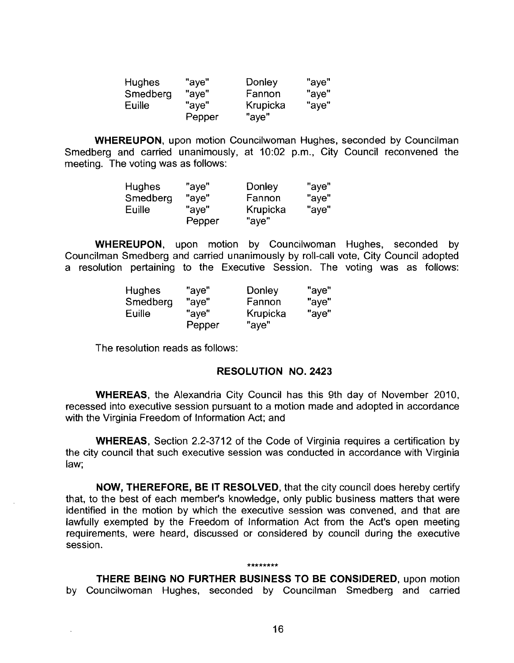| <b>Hughes</b> | "aye"  | Donley   | "aye" |
|---------------|--------|----------|-------|
| Smedberg      | "aye"  | Fannon   | "ave" |
| Euille        | "ave"  | Krupicka | "aye" |
|               | Pepper | "aye"    |       |

WHEREUPON, upon motion Councilwoman Hughes, seconded by Councilman Smedberg and carried unanimously, at 10:02 p.m., City Council reconvened the meeting. The voting was as follows:

| <b>Hughes</b> | "aye"  | Donley   | "aye" |
|---------------|--------|----------|-------|
| Smedberg      | "aye"  | Fannon   | "aye" |
| Euille        | "ave"  | Krupicka | "aye" |
|               | Pepper | "aye"    |       |

WHEREUPON, upon motion by Councilwoman Hughes, seconded by Councilman Smedberg and carried unarimously by roll-call vote, City Council adopted a resolution pertaining to the Executive Session. The voting was as follows:

| <b>Hughes</b> | "aye"  | Donley   | "aye" |
|---------------|--------|----------|-------|
| Smedberg      | "aye"  | Fannon   | "aye" |
| Euille        | "ave"  | Krupicka | "aye" |
|               | Pepper | "aye"    |       |

The resolution reads as follows:

#### RESOLUTION NO. **2423**

WHEREAS, the Alexandria City Council has this 9th day of November 2010, recessed into executive session pursuant to a motion made and adopted in accordance with the Virginia Freedom of lnformation Act; and

WHEREAS, Section 2.2-3712 of the Code of Virginia requires a certification by the city council that such executive session was conducted in accordance with Virginia law;

NOW, THEREFORE, BE IT RESOLVED, that the city council does hereby certify that, to the best of each member's knowledge, only public business matters that were identified in the motion by which the executive session was convened, and that are lawfully exempted by the Freedom of lnformation Act from the Act's open meeting requirements, were heard, discussed or considered by council during the executive session.

#### \*\*\*\*\*\*\*\*

THERE BEING NO FURTHER BUSINESS TO BE CONSIDERED, upon motion by Councilwoman Hughes, seconded by Councilman Smedberg and carried